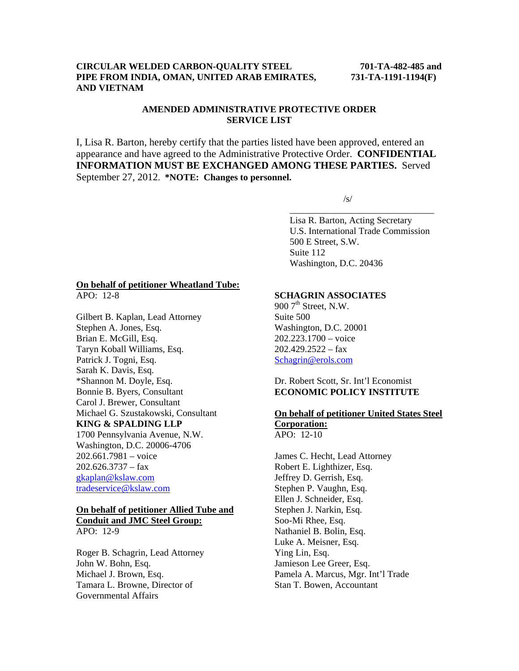#### **CIRCULAR WELDED CARBON-QUALITY STEEL 701-TA-482-485 and PIPE FROM INDIA, OMAN, UNITED ARAB EMIRATES, 731-TA-1191-1194(F) AND VIETNAM**

## **AMENDED ADMINISTRATIVE PROTECTIVE ORDER SERVICE LIST**

I, Lisa R. Barton, hereby certify that the parties listed have been approved, entered an appearance and have agreed to the Administrative Protective Order. **CONFIDENTIAL INFORMATION MUST BE EXCHANGED AMONG THESE PARTIES.** Served September 27, 2012. **\*NOTE: Changes to personnel.** 

 $\overline{\phantom{a}}$  , and the contract of the contract of the contract of the contract of the contract of the contract of the contract of the contract of the contract of the contract of the contract of the contract of the contrac

 $\sqrt{s}$ /s/

 Lisa R. Barton, Acting Secretary U.S. International Trade Commission 500 E Street, S.W. Suite 112 Washington, D.C. 20436

## **On behalf of petitioner Wheatland Tube:**

APO: 12-8

Gilbert B. Kaplan, Lead Attorney Stephen A. Jones, Esq. Brian E. McGill, Esq. Taryn Koball Williams, Esq. Patrick J. Togni, Esq. Sarah K. Davis, Esq. \*Shannon M. Doyle, Esq. Bonnie B. Byers, Consultant Carol J. Brewer, Consultant Michael G. Szustakowski, Consultant **KING & SPALDING LLP** 1700 Pennsylvania Avenue, N.W. Washington, D.C. 20006-4706 202.661.7981 – voice  $202.626.3737 - fax$ gkaplan@kslaw.com

# **On behalf of petitioner Allied Tube and Conduit and JMC Steel Group:**

tradeservice@kslaw.com

APO: 12-9

Roger B. Schagrin, Lead Attorney John W. Bohn, Esq. Michael J. Brown, Esq. Tamara L. Browne, Director of Governmental Affairs

#### **SCHAGRIN ASSOCIATES**

 $900$  7<sup>th</sup> Street, N.W. Suite 500 Washington, D.C. 20001 202.223.1700 – voice  $202.429.2522 - fax$ Schagrin@erols.com

#### Dr. Robert Scott, Sr. Int'l Economist **ECONOMIC POLICY INSTITUTE**

#### **On behalf of petitioner United States Steel Corporation:** APO: 12-10

James C. Hecht, Lead Attorney Robert E. Lighthizer, Esq. Jeffrey D. Gerrish, Esq. Stephen P. Vaughn, Esq. Ellen J. Schneider, Esq. Stephen J. Narkin, Esq. Soo-Mi Rhee, Esq. Nathaniel B. Bolin, Esq. Luke A. Meisner, Esq. Ying Lin, Esq. Jamieson Lee Greer, Esq. Pamela A. Marcus, Mgr. Int'l Trade Stan T. Bowen, Accountant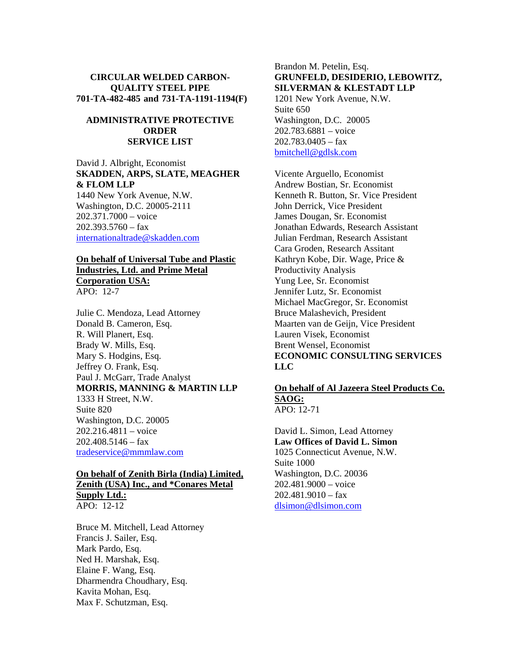## **CIRCULAR WELDED CARBON-QUALITY STEEL PIPE 701-TA-482-485 and 731-TA-1191-1194(F)**

## **ADMINISTRATIVE PROTECTIVE ORDER SERVICE LIST**

David J. Albright, Economist **SKADDEN, ARPS, SLATE, MEAGHER & FLOM LLP** 1440 New York Avenue, N.W. Washington, D.C. 20005-2111 202.371.7000 – voice  $202.393.5760 - fax$ internationaltrade@skadden.com

#### **On behalf of Universal Tube and Plastic Industries, Ltd. and Prime Metal Corporation USA:** APO: 12-7

Julie C. Mendoza, Lead Attorney Donald B. Cameron, Esq. R. Will Planert, Esq. Brady W. Mills, Esq. Mary S. Hodgins, Esq. Jeffrey O. Frank, Esq. Paul J. McGarr, Trade Analyst **MORRIS, MANNING & MARTIN LLP** 1333 H Street, N.W. Suite 820 Washington, D.C. 20005 202.216.4811 – voice  $202.408.5146 - fax$ tradeservice@mmmlaw.com

## **On behalf of Zenith Birla (India) Limited, Zenith (USA) Inc., and \*Conares Metal Supply Ltd.:** APO: 12-12

Bruce M. Mitchell, Lead Attorney Francis J. Sailer, Esq. Mark Pardo, Esq. Ned H. Marshak, Esq. Elaine F. Wang, Esq. Dharmendra Choudhary, Esq. Kavita Mohan, Esq. Max F. Schutzman, Esq.

## Brandon M. Petelin, Esq. **GRUNFELD, DESIDERIO, LEBOWITZ, SILVERMAN & KLESTADT LLP**

1201 New York Avenue, N.W. Suite 650 Washington, D.C. 20005 202.783.6881 – voice 202.783.0405 – fax bmitchell@gdlsk.com

Vicente Arguello, Economist Andrew Bostian, Sr. Economist Kenneth R. Button, Sr. Vice President John Derrick, Vice President James Dougan, Sr. Economist Jonathan Edwards, Research Assistant Julian Ferdman, Research Assistant Cara Groden, Research Assitant Kathryn Kobe, Dir. Wage, Price & Productivity Analysis Yung Lee, Sr. Economist Jennifer Lutz, Sr. Economist Michael MacGregor, Sr. Economist Bruce Malashevich, President Maarten van de Geijn, Vice President Lauren Visek, Economist Brent Wensel, Economist **ECONOMIC CONSULTING SERVICES LLC** 

#### **On behalf of Al Jazeera Steel Products Co. SAOG:** APO: 12-71

David L. Simon, Lead Attorney **Law Offices of David L. Simon** 1025 Connecticut Avenue, N.W. Suite 1000 Washington, D.C. 20036 202.481.9000 – voice  $202.481.9010 - fax$ dlsimon@dlsimon.com